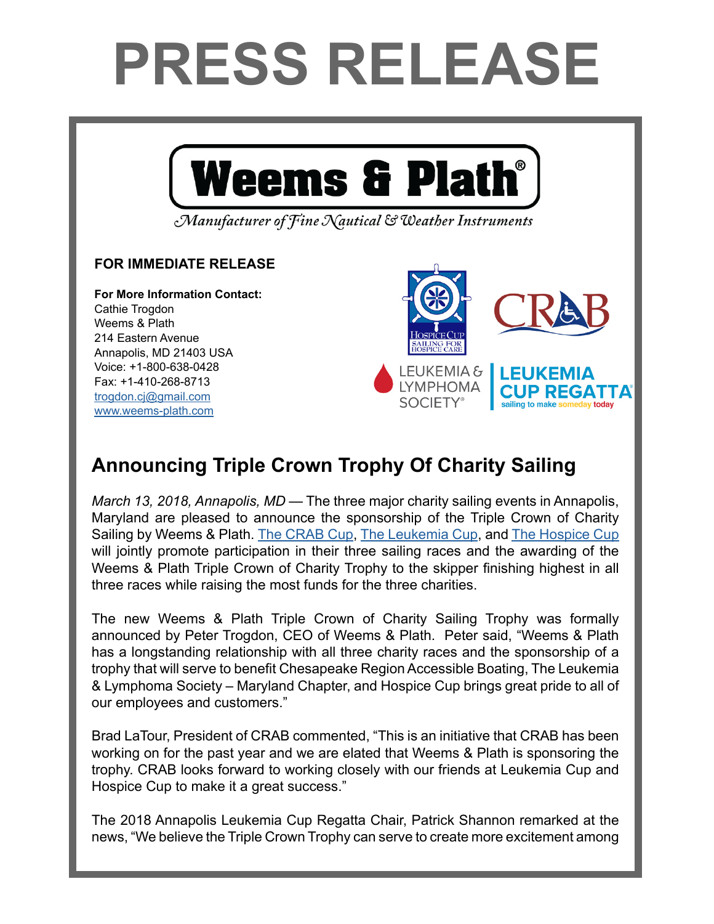## **PRESS RELEASE**



## **Announcing Triple Crown Trophy Of Charity Sailing**

[www.weems-plath.com](http://www.weems-plath.com)

*March 13, 2018, Annapolis, MD* — The three major charity sailing events in Annapolis, Maryland are pleased to announce the sponsorship of the Triple Crown of Charity Sailing by Weems & Plath. [The CRAB Cup](http://crabsailing.org/), [The Leukemia Cup,](http://www.leukemiacup.org/events/annapolis-leukemia-cup-regatta) and [The Hospice Cup](http://www.hospicecup.org/)  will jointly promote participation in their three sailing races and the awarding of the Weems & Plath Triple Crown of Charity Trophy to the skipper finishing highest in all three races while raising the most funds for the three charities.

The new Weems & Plath Triple Crown of Charity Sailing Trophy was formally announced by Peter Trogdon, CEO of Weems & Plath. Peter said, "Weems & Plath has a longstanding relationship with all three charity races and the sponsorship of a trophy that will serve to benefit Chesapeake Region Accessible Boating, The Leukemia & Lymphoma Society – Maryland Chapter, and Hospice Cup brings great pride to all of our employees and customers."

Brad LaTour, President of CRAB commented, "This is an initiative that CRAB has been working on for the past year and we are elated that Weems & Plath is sponsoring the trophy. CRAB looks forward to working closely with our friends at Leukemia Cup and Hospice Cup to make it a great success."

The 2018 Annapolis Leukemia Cup Regatta Chair, Patrick Shannon remarked at the news, "We believe the Triple Crown Trophy can serve to create more excitement among